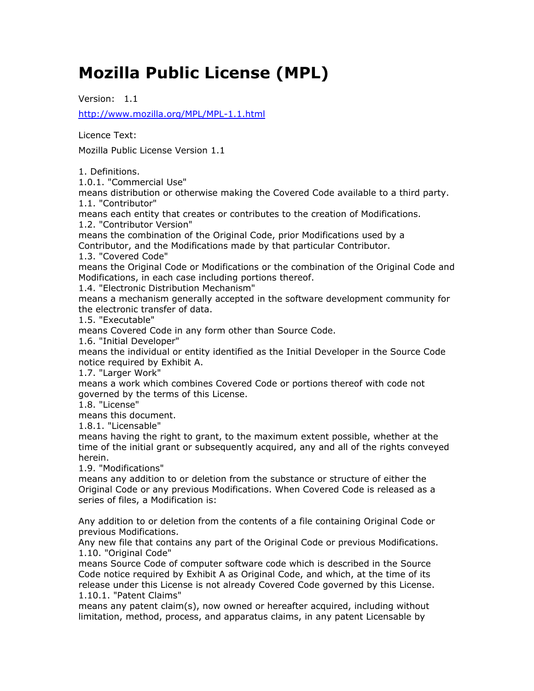# **Mozilla Public License (MPL)**

Version: 1.1 <http://www.mozilla.org/MPL/MPL-1.1.html>

Licence Text:

Mozilla Public License Version 1.1

1. Definitions.

1.0.1. "Commercial Use"

means distribution or otherwise making the Covered Code available to a third party. 1.1. "Contributor"

means each entity that creates or contributes to the creation of Modifications. 1.2. "Contributor Version"

means the combination of the Original Code, prior Modifications used by a

Contributor, and the Modifications made by that particular Contributor.

1.3. "Covered Code"

means the Original Code or Modifications or the combination of the Original Code and Modifications, in each case including portions thereof.

1.4. "Electronic Distribution Mechanism"

means a mechanism generally accepted in the software development community for the electronic transfer of data.

1.5. "Executable"

means Covered Code in any form other than Source Code.

1.6. "Initial Developer"

means the individual or entity identified as the Initial Developer in the Source Code notice required by Exhibit A.

1.7. "Larger Work"

means a work which combines Covered Code or portions thereof with code not governed by the terms of this License.

1.8. "License"

means this document.

1.8.1. "Licensable"

means having the right to grant, to the maximum extent possible, whether at the time of the initial grant or subsequently acquired, any and all of the rights conveyed herein.

1.9. "Modifications"

means any addition to or deletion from the substance or structure of either the Original Code or any previous Modifications. When Covered Code is released as a series of files, a Modification is:

Any addition to or deletion from the contents of a file containing Original Code or previous Modifications.

Any new file that contains any part of the Original Code or previous Modifications. 1.10. "Original Code"

means Source Code of computer software code which is described in the Source Code notice required by Exhibit A as Original Code, and which, at the time of its release under this License is not already Covered Code governed by this License. 1.10.1. "Patent Claims"

means any patent claim(s), now owned or hereafter acquired, including without limitation, method, process, and apparatus claims, in any patent Licensable by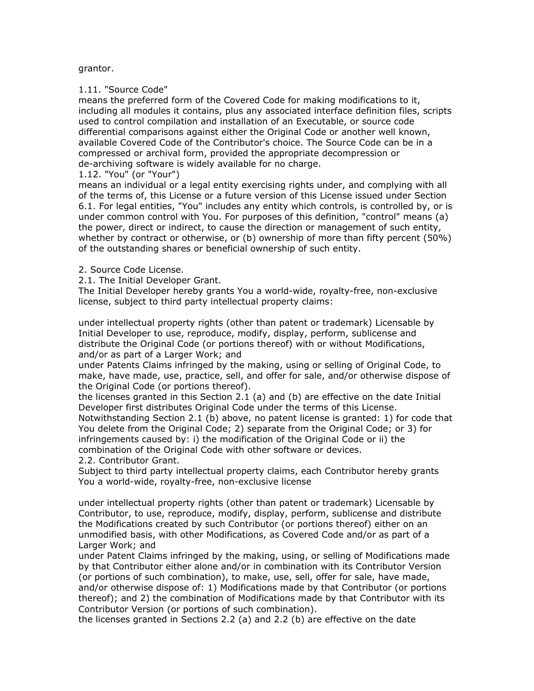## grantor.

## 1.11. "Source Code"

means the preferred form of the Covered Code for making modifications to it, including all modules it contains, plus any associated interface definition files, scripts used to control compilation and installation of an Executable, or source code differential comparisons against either the Original Code or another well known, available Covered Code of the Contributor's choice. The Source Code can be in a compressed or archival form, provided the appropriate decompression or de-archiving software is widely available for no charge.

# 1.12. "You" (or "Your")

means an individual or a legal entity exercising rights under, and complying with all of the terms of, this License or a future version of this License issued under Section 6.1. For legal entities, "You" includes any entity which controls, is controlled by, or is under common control with You. For purposes of this definition, "control" means (a) the power, direct or indirect, to cause the direction or management of such entity, whether by contract or otherwise, or (b) ownership of more than fifty percent (50%) of the outstanding shares or beneficial ownership of such entity.

## 2. Source Code License.

2.1. The Initial Developer Grant.

The Initial Developer hereby grants You a world-wide, royalty-free, non-exclusive license, subject to third party intellectual property claims:

under intellectual property rights (other than patent or trademark) Licensable by Initial Developer to use, reproduce, modify, display, perform, sublicense and distribute the Original Code (or portions thereof) with or without Modifications, and/or as part of a Larger Work; and

under Patents Claims infringed by the making, using or selling of Original Code, to make, have made, use, practice, sell, and offer for sale, and/or otherwise dispose of the Original Code (or portions thereof).

the licenses granted in this Section 2.1 (a) and (b) are effective on the date Initial Developer first distributes Original Code under the terms of this License. Notwithstanding Section 2.1 (b) above, no patent license is granted: 1) for code that You delete from the Original Code; 2) separate from the Original Code; or 3) for infringements caused by: i) the modification of the Original Code or ii) the combination of the Original Code with other software or devices. 2.2. Contributor Grant.

Subject to third party intellectual property claims, each Contributor hereby grants You a world-wide, royalty-free, non-exclusive license

under intellectual property rights (other than patent or trademark) Licensable by Contributor, to use, reproduce, modify, display, perform, sublicense and distribute the Modifications created by such Contributor (or portions thereof) either on an unmodified basis, with other Modifications, as Covered Code and/or as part of a Larger Work; and

under Patent Claims infringed by the making, using, or selling of Modifications made by that Contributor either alone and/or in combination with its Contributor Version (or portions of such combination), to make, use, sell, offer for sale, have made, and/or otherwise dispose of: 1) Modifications made by that Contributor (or portions thereof); and 2) the combination of Modifications made by that Contributor with its Contributor Version (or portions of such combination).

the licenses granted in Sections 2.2 (a) and 2.2 (b) are effective on the date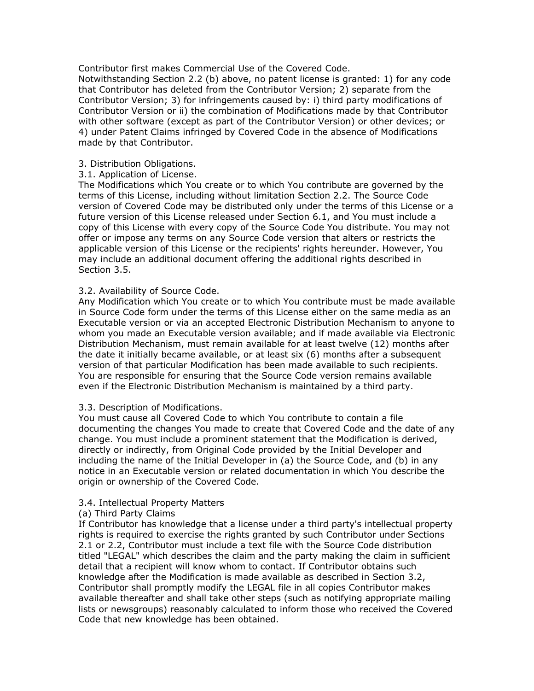Contributor first makes Commercial Use of the Covered Code.

Notwithstanding Section 2.2 (b) above, no patent license is granted: 1) for any code that Contributor has deleted from the Contributor Version; 2) separate from the Contributor Version; 3) for infringements caused by: i) third party modifications of Contributor Version or ii) the combination of Modifications made by that Contributor with other software (except as part of the Contributor Version) or other devices; or 4) under Patent Claims infringed by Covered Code in the absence of Modifications made by that Contributor.

# 3. Distribution Obligations.

## 3.1. Application of License.

The Modifications which You create or to which You contribute are governed by the terms of this License, including without limitation Section 2.2. The Source Code version of Covered Code may be distributed only under the terms of this License or a future version of this License released under Section 6.1, and You must include a copy of this License with every copy of the Source Code You distribute. You may not offer or impose any terms on any Source Code version that alters or restricts the applicable version of this License or the recipients' rights hereunder. However, You may include an additional document offering the additional rights described in Section 3.5.

## 3.2. Availability of Source Code.

Any Modification which You create or to which You contribute must be made available in Source Code form under the terms of this License either on the same media as an Executable version or via an accepted Electronic Distribution Mechanism to anyone to whom you made an Executable version available; and if made available via Electronic Distribution Mechanism, must remain available for at least twelve (12) months after the date it initially became available, or at least six (6) months after a subsequent version of that particular Modification has been made available to such recipients. You are responsible for ensuring that the Source Code version remains available even if the Electronic Distribution Mechanism is maintained by a third party.

# 3.3. Description of Modifications.

You must cause all Covered Code to which You contribute to contain a file documenting the changes You made to create that Covered Code and the date of any change. You must include a prominent statement that the Modification is derived, directly or indirectly, from Original Code provided by the Initial Developer and including the name of the Initial Developer in (a) the Source Code, and (b) in any notice in an Executable version or related documentation in which You describe the origin or ownership of the Covered Code.

## 3.4. Intellectual Property Matters

#### (a) Third Party Claims

If Contributor has knowledge that a license under a third party's intellectual property rights is required to exercise the rights granted by such Contributor under Sections 2.1 or 2.2, Contributor must include a text file with the Source Code distribution titled "LEGAL" which describes the claim and the party making the claim in sufficient detail that a recipient will know whom to contact. If Contributor obtains such knowledge after the Modification is made available as described in Section 3.2, Contributor shall promptly modify the LEGAL file in all copies Contributor makes available thereafter and shall take other steps (such as notifying appropriate mailing lists or newsgroups) reasonably calculated to inform those who received the Covered Code that new knowledge has been obtained.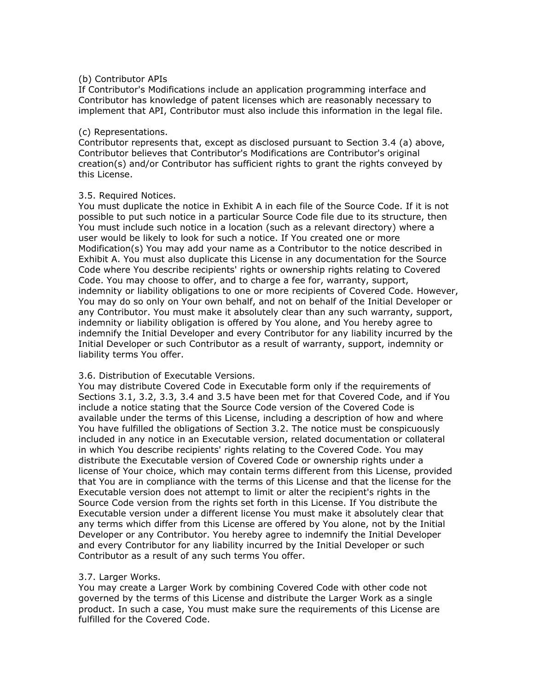# (b) Contributor APIs

If Contributor's Modifications include an application programming interface and Contributor has knowledge of patent licenses which are reasonably necessary to implement that API, Contributor must also include this information in the legal file.

#### (c) Representations.

Contributor represents that, except as disclosed pursuant to Section 3.4 (a) above, Contributor believes that Contributor's Modifications are Contributor's original creation(s) and/or Contributor has sufficient rights to grant the rights conveyed by this License.

## 3.5. Required Notices.

You must duplicate the notice in Exhibit A in each file of the Source Code. If it is not possible to put such notice in a particular Source Code file due to its structure, then You must include such notice in a location (such as a relevant directory) where a user would be likely to look for such a notice. If You created one or more Modification(s) You may add your name as a Contributor to the notice described in Exhibit A. You must also duplicate this License in any documentation for the Source Code where You describe recipients' rights or ownership rights relating to Covered Code. You may choose to offer, and to charge a fee for, warranty, support, indemnity or liability obligations to one or more recipients of Covered Code. However, You may do so only on Your own behalf, and not on behalf of the Initial Developer or any Contributor. You must make it absolutely clear than any such warranty, support, indemnity or liability obligation is offered by You alone, and You hereby agree to indemnify the Initial Developer and every Contributor for any liability incurred by the Initial Developer or such Contributor as a result of warranty, support, indemnity or liability terms You offer.

# 3.6. Distribution of Executable Versions.

You may distribute Covered Code in Executable form only if the requirements of Sections 3.1, 3.2, 3.3, 3.4 and 3.5 have been met for that Covered Code, and if You include a notice stating that the Source Code version of the Covered Code is available under the terms of this License, including a description of how and where You have fulfilled the obligations of Section 3.2. The notice must be conspicuously included in any notice in an Executable version, related documentation or collateral in which You describe recipients' rights relating to the Covered Code. You may distribute the Executable version of Covered Code or ownership rights under a license of Your choice, which may contain terms different from this License, provided that You are in compliance with the terms of this License and that the license for the Executable version does not attempt to limit or alter the recipient's rights in the Source Code version from the rights set forth in this License. If You distribute the Executable version under a different license You must make it absolutely clear that any terms which differ from this License are offered by You alone, not by the Initial Developer or any Contributor. You hereby agree to indemnify the Initial Developer and every Contributor for any liability incurred by the Initial Developer or such Contributor as a result of any such terms You offer.

# 3.7. Larger Works.

You may create a Larger Work by combining Covered Code with other code not governed by the terms of this License and distribute the Larger Work as a single product. In such a case, You must make sure the requirements of this License are fulfilled for the Covered Code.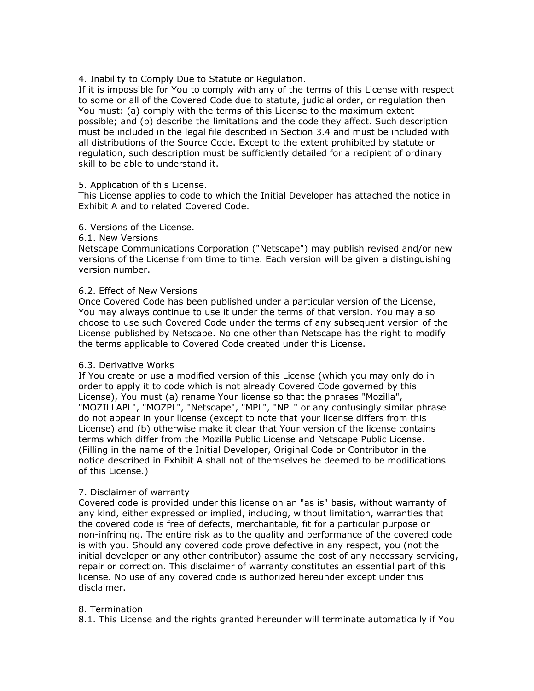4. Inability to Comply Due to Statute or Regulation.

If it is impossible for You to comply with any of the terms of this License with respect to some or all of the Covered Code due to statute, judicial order, or regulation then You must: (a) comply with the terms of this License to the maximum extent possible; and (b) describe the limitations and the code they affect. Such description must be included in the legal file described in Section 3.4 and must be included with all distributions of the Source Code. Except to the extent prohibited by statute or regulation, such description must be sufficiently detailed for a recipient of ordinary skill to be able to understand it.

## 5. Application of this License.

This License applies to code to which the Initial Developer has attached the notice in Exhibit A and to related Covered Code.

# 6. Versions of the License.

#### 6.1. New Versions

Netscape Communications Corporation ("Netscape") may publish revised and/or new versions of the License from time to time. Each version will be given a distinguishing version number.

## 6.2. Effect of New Versions

Once Covered Code has been published under a particular version of the License, You may always continue to use it under the terms of that version. You may also choose to use such Covered Code under the terms of any subsequent version of the License published by Netscape. No one other than Netscape has the right to modify the terms applicable to Covered Code created under this License.

#### 6.3. Derivative Works

If You create or use a modified version of this License (which you may only do in order to apply it to code which is not already Covered Code governed by this License), You must (a) rename Your license so that the phrases "Mozilla", "MOZILLAPL", "MOZPL", "Netscape", "MPL", "NPL" or any confusingly similar phrase do not appear in your license (except to note that your license differs from this License) and (b) otherwise make it clear that Your version of the license contains terms which differ from the Mozilla Public License and Netscape Public License. (Filling in the name of the Initial Developer, Original Code or Contributor in the notice described in Exhibit A shall not of themselves be deemed to be modifications of this License.)

# 7. Disclaimer of warranty

Covered code is provided under this license on an "as is" basis, without warranty of any kind, either expressed or implied, including, without limitation, warranties that the covered code is free of defects, merchantable, fit for a particular purpose or non-infringing. The entire risk as to the quality and performance of the covered code is with you. Should any covered code prove defective in any respect, you (not the initial developer or any other contributor) assume the cost of any necessary servicing, repair or correction. This disclaimer of warranty constitutes an essential part of this license. No use of any covered code is authorized hereunder except under this disclaimer.

# 8. Termination

8.1. This License and the rights granted hereunder will terminate automatically if You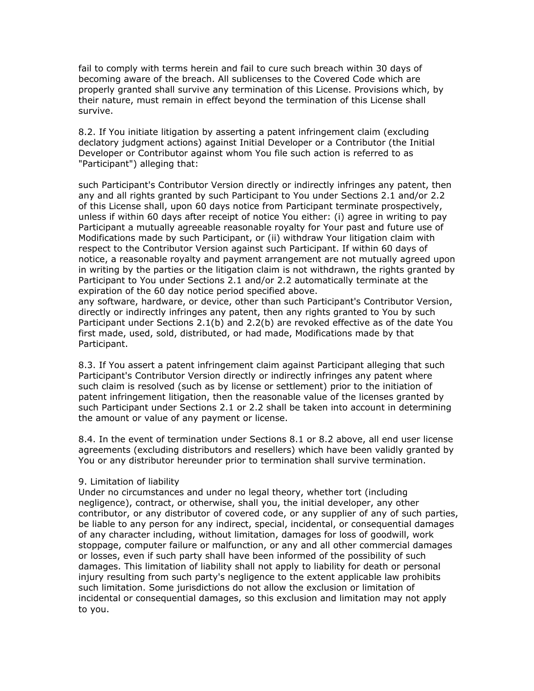fail to comply with terms herein and fail to cure such breach within 30 days of becoming aware of the breach. All sublicenses to the Covered Code which are properly granted shall survive any termination of this License. Provisions which, by their nature, must remain in effect beyond the termination of this License shall survive.

8.2. If You initiate litigation by asserting a patent infringement claim (excluding declatory judgment actions) against Initial Developer or a Contributor (the Initial Developer or Contributor against whom You file such action is referred to as "Participant") alleging that:

such Participant's Contributor Version directly or indirectly infringes any patent, then any and all rights granted by such Participant to You under Sections 2.1 and/or 2.2 of this License shall, upon 60 days notice from Participant terminate prospectively, unless if within 60 days after receipt of notice You either: (i) agree in writing to pay Participant a mutually agreeable reasonable royalty for Your past and future use of Modifications made by such Participant, or (ii) withdraw Your litigation claim with respect to the Contributor Version against such Participant. If within 60 days of notice, a reasonable royalty and payment arrangement are not mutually agreed upon in writing by the parties or the litigation claim is not withdrawn, the rights granted by Participant to You under Sections 2.1 and/or 2.2 automatically terminate at the expiration of the 60 day notice period specified above.

any software, hardware, or device, other than such Participant's Contributor Version, directly or indirectly infringes any patent, then any rights granted to You by such Participant under Sections 2.1(b) and 2.2(b) are revoked effective as of the date You first made, used, sold, distributed, or had made, Modifications made by that Participant.

8.3. If You assert a patent infringement claim against Participant alleging that such Participant's Contributor Version directly or indirectly infringes any patent where such claim is resolved (such as by license or settlement) prior to the initiation of patent infringement litigation, then the reasonable value of the licenses granted by such Participant under Sections 2.1 or 2.2 shall be taken into account in determining the amount or value of any payment or license.

8.4. In the event of termination under Sections 8.1 or 8.2 above, all end user license agreements (excluding distributors and resellers) which have been validly granted by You or any distributor hereunder prior to termination shall survive termination.

# 9. Limitation of liability

Under no circumstances and under no legal theory, whether tort (including negligence), contract, or otherwise, shall you, the initial developer, any other contributor, or any distributor of covered code, or any supplier of any of such parties, be liable to any person for any indirect, special, incidental, or consequential damages of any character including, without limitation, damages for loss of goodwill, work stoppage, computer failure or malfunction, or any and all other commercial damages or losses, even if such party shall have been informed of the possibility of such damages. This limitation of liability shall not apply to liability for death or personal injury resulting from such party's negligence to the extent applicable law prohibits such limitation. Some jurisdictions do not allow the exclusion or limitation of incidental or consequential damages, so this exclusion and limitation may not apply to you.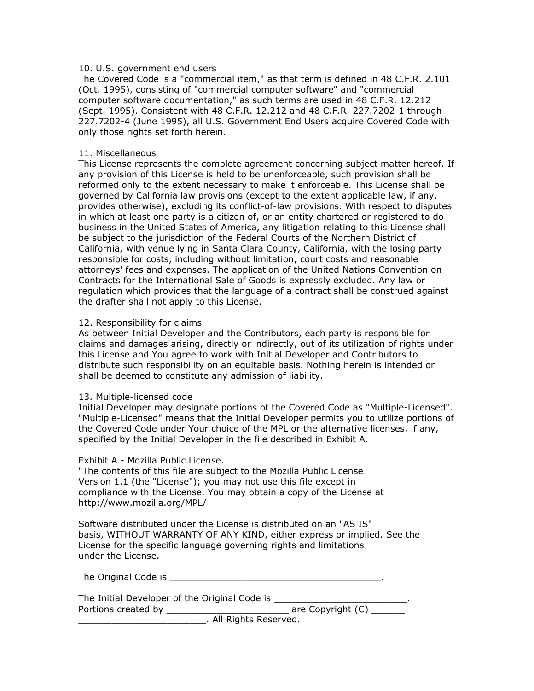#### 10. U.S. government end users

The Covered Code is a "commercial item," as that term is defined in 48 C.F.R. 2.101 (Oct. 1995), consisting of "commercial computer software" and "commercial computer software documentation," as such terms are used in 48 C.F.R. 12.212 (Sept. 1995). Consistent with 48 C.F.R. 12.212 and 48 C.F.R. 227.7202-1 through 227.7202-4 (June 1995), all U.S. Government End Users acquire Covered Code with only those rights set forth herein.

#### 11. Miscellaneous

This License represents the complete agreement concerning subject matter hereof. If any provision of this License is held to be unenforceable, such provision shall be reformed only to the extent necessary to make it enforceable. This License shall be governed by California law provisions (except to the extent applicable law, if any, provides otherwise), excluding its conflict-of-law provisions. With respect to disputes in which at least one party is a citizen of, or an entity chartered or registered to do business in the United States of America, any litigation relating to this License shall be subject to the jurisdiction of the Federal Courts of the Northern District of California, with venue lying in Santa Clara County, California, with the losing party responsible for costs, including without limitation, court costs and reasonable attorneys' fees and expenses. The application of the United Nations Convention on Contracts for the International Sale of Goods is expressly excluded. Any law or regulation which provides that the language of a contract shall be construed against the drafter shall not apply to this License.

#### 12. Responsibility for claims

As between Initial Developer and the Contributors, each party is responsible for claims and damages arising, directly or indirectly, out of its utilization of rights under this License and You agree to work with Initial Developer and Contributors to distribute such responsibility on an equitable basis. Nothing herein is intended or shall be deemed to constitute any admission of liability.

#### 13. Multiple-licensed code

Initial Developer may designate portions of the Covered Code as "Multiple-Licensed". "Multiple-Licensed" means that the Initial Developer permits you to utilize portions of the Covered Code under Your choice of the MPL or the alternative licenses, if any, specified by the Initial Developer in the file described in Exhibit A.

#### Exhibit A - Mozilla Public License.

"The contents of this file are subject to the Mozilla Public License Version 1.1 (the "License"); you may not use this file except in compliance with the License. You may obtain a copy of the License at http://www.mozilla.org/MPL/

Software distributed under the License is distributed on an "AS IS" basis, WITHOUT WARRANTY OF ANY KIND, either express or implied. See the License for the specific language governing rights and limitations under the License.

The Original Code is \_\_\_\_\_\_\_\_\_\_\_\_\_\_\_\_\_\_\_\_\_\_\_\_\_\_\_\_\_\_\_\_\_\_\_\_\_\_.

The Initial Developer of the Original Code is \_\_\_\_\_\_\_\_\_\_\_\_\_\_\_\_\_\_\_\_\_\_\_\_\_\_\_\_\_\_\_\_\_\_ Portions created by \_\_\_\_\_\_\_\_\_\_\_\_\_\_\_\_\_\_\_\_\_\_\_\_\_\_\_\_\_\_\_\_ are Copyright (C) \_\_\_\_\_\_\_\_

\_\_\_\_\_\_\_\_\_\_\_\_\_\_\_\_\_\_\_\_\_\_\_. All Rights Reserved.